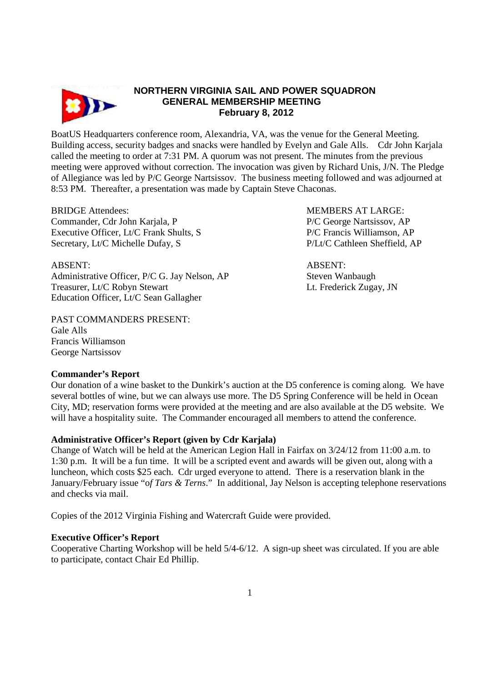

# **NORTHERN VIRGINIA SAIL AND POWER SQUADRON GENERAL MEMBERSHIP MEETING February 8, 2012**

BoatUS Headquarters conference room, Alexandria, VA, was the venue for the General Meeting. Building access, security badges and snacks were handled by Evelyn and Gale Alls. Cdr John Karjala called the meeting to order at 7:31 PM. A quorum was not present. The minutes from the previous meeting were approved without correction. The invocation was given by Richard Unis, J/N. The Pledge of Allegiance was led by P/C George Nartsissov. The business meeting followed and was adjourned at 8:53 PM. Thereafter, a presentation was made by Captain Steve Chaconas.

Commander, Cdr John Karjala, P P/C George Nartsissov, AP Executive Officer, Lt/C Frank Shults, S<br>
P/C Francis Williamson, AP Secretary, Lt/C Michelle Dufay, S<br>
P/Lt/C Cathleen Sheffield, AP

ABSENT: ABSENT: Administrative Officer, P/C G. Jay Nelson, AP Steven Wanbaugh Treasurer, Lt/C Robyn Stewart Letter Lt. Frederick Zugay, JN Education Officer, Lt/C Sean Gallagher

PAST COMMANDERS PRESENT: Gale Alls Francis Williamson George Nartsissov

BRIDGE Attendees: MEMBERS AT LARGE:

## **Commander's Report**

Our donation of a wine basket to the Dunkirk's auction at the D5 conference is coming along. We have several bottles of wine, but we can always use more. The D5 Spring Conference will be held in Ocean City, MD; reservation forms were provided at the meeting and are also available at the D5 website. We will have a hospitality suite. The Commander encouraged all members to attend the conference.

## **Administrative Officer's Report (given by Cdr Karjala)**

Change of Watch will be held at the American Legion Hall in Fairfax on 3/24/12 from 11:00 a.m. to 1:30 p.m. It will be a fun time. It will be a scripted event and awards will be given out, along with a luncheon, which costs \$25 each. Cdr urged everyone to attend. There is a reservation blank in the January/February issue "o*f Tars & Terns*." In additional, Jay Nelson is accepting telephone reservations and checks via mail.

Copies of the 2012 Virginia Fishing and Watercraft Guide were provided.

## **Executive Officer's Report**

Cooperative Charting Workshop will be held 5/4-6/12. A sign-up sheet was circulated. If you are able to participate, contact Chair Ed Phillip.